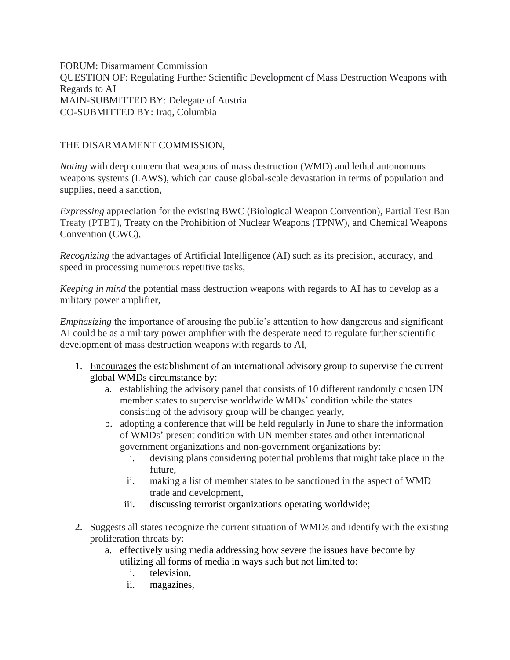FORUM: Disarmament Commission QUESTION OF: [Regulating](https://munisc.isqchina.com/wp-content/uploads/2021/01/DA_04_Regulating-Further-Scientific-Development-of-Mass-Destruction-Weapons-with-Regards-to-Artificial-Intelligence.pdf) Further Scientific Development of Mass Destruction Weapons with Regards to AI MAIN-SUBMITTED BY: Delegate of Austria CO-SUBMITTED BY: Iraq, Columbia

## THE DISARMAMENT COMMISSION,

*Noting* with deep concern that weapons of mass destruction (WMD) and lethal autonomous weapons systems (LAWS), which can cause global-scale devastation in terms of population and supplies, need a sanction,

*Expressing* appreciation for the existing BWC (Biological Weapon Convention), Partial Test Ban Treaty (PTBT), Treaty on the Prohibition of Nuclear Weapons (TPNW), and Chemical Weapons Convention (CWC),

*Recognizing* the advantages of Artificial Intelligence (AI) such as its precision, accuracy, and speed in processing numerous repetitive tasks,

*Keeping in mind* the potential mass destruction weapons with regards to AI has to develop as a military power amplifier,

*Emphasizing* the importance of arousing the public's attention to how dangerous and significant AI could be as a military power amplifier with the desperate need to regulate further scientific development of mass destruction weapons with regards to AI,

- 1. Encourages the establishment of an international advisory group to supervise the current global WMDs circumstance by:
	- a. establishing the advisory panel that consists of 10 different randomly chosen UN member states to supervise worldwide WMDs' condition while the states consisting of the advisory group will be changed yearly,
	- b. adopting a conference that will be held regularly in June to share the information of WMDs' present condition with UN member states and other international government organizations and non-government organizations by:
		- i. devising plans considering potential problems that might take place in the future,
		- ii. making a list of member states to be sanctioned in the aspect of WMD trade and development,
		- iii. discussing terrorist organizations operating worldwide;
- 2. Suggests all states recognize the current situation of WMDs and identify with the existing proliferation threats by:
	- a. effectively using media addressing how severe the issues have become by utilizing all forms of media in ways such but not limited to:
		- i. television,
		- ii. magazines,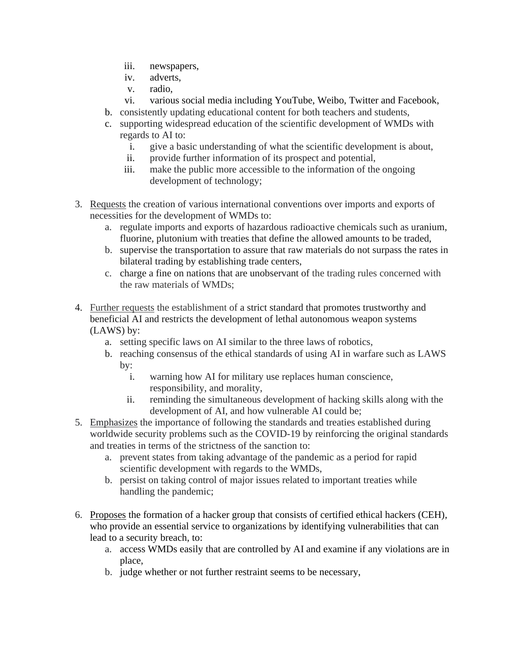- iii. newspapers,
- iv. adverts,
- v. radio,
- vi. various social media including YouTube, Weibo, Twitter and Facebook,
- b. consistently updating educational content for both teachers and students,
- c. supporting widespread education of the scientific development of WMDs with regards to AI to:
	- i. give a basic understanding of what the scientific development is about,
	- ii. provide further information of its prospect and potential,
	- iii. make the public more accessible to the information of the ongoing development of technology;
- 3. Requests the creation of various international conventions over imports and exports of necessities for the development of WMDs to:
	- a. regulate imports and exports of hazardous radioactive chemicals such as uranium, fluorine, plutonium with treaties that define the allowed amounts to be traded,
	- b. supervise the transportation to assure that raw materials do not surpass the rates in bilateral trading by establishing trade centers,
	- c. charge a fine on nations that are unobservant of the trading rules concerned with the raw materials of WMDs;
- 4. Further requests the establishment of a strict standard that promotes trustworthy and beneficial AI and restricts the development of lethal autonomous weapon systems (LAWS) by:
	- a. setting specific laws on AI similar to the three laws of robotics,
	- b. reaching consensus of the ethical standards of using AI in warfare such as LAWS by:
		- i. warning how AI for military use replaces human conscience, responsibility, and morality,
		- ii. reminding the simultaneous development of hacking skills along with the development of AI, and how vulnerable AI could be;
- 5. Emphasizes the importance of following the standards and treaties established during worldwide security problems such as the COVID-19 by reinforcing the original standards and treaties in terms of the strictness of the sanction to:
	- a. prevent states from taking advantage of the pandemic as a period for rapid scientific development with regards to the WMDs,
	- b. persist on taking control of major issues related to important treaties while handling the pandemic;
- 6. Proposes the formation of a hacker group that consists of certified ethical hackers (CEH), who provide an essential service to organizations by identifying vulnerabilities that can lead to a security breach, to:
	- a. access WMDs easily that are controlled by AI and examine if any violations are in place,
	- b. judge whether or not further restraint seems to be necessary,